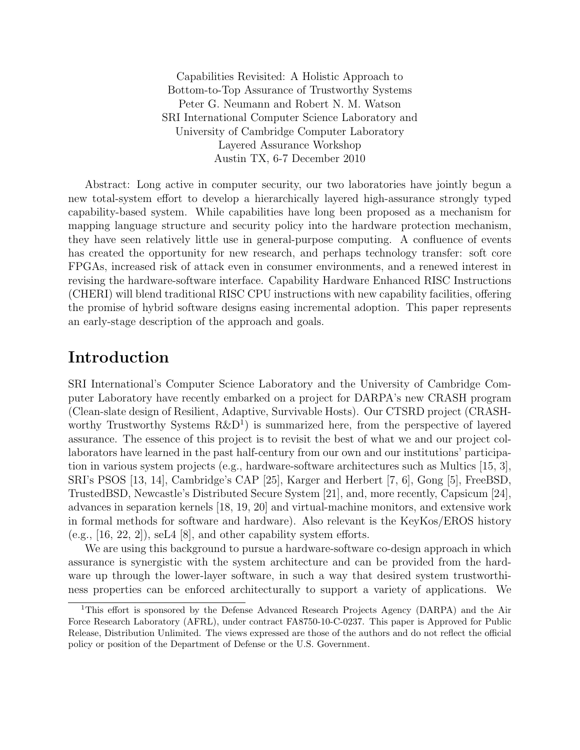Capabilities Revisited: A Holistic Approach to Bottom-to-Top Assurance of Trustworthy Systems Peter G. Neumann and Robert N. M. Watson SRI International Computer Science Laboratory and University of Cambridge Computer Laboratory Layered Assurance Workshop Austin TX, 6-7 December 2010

Abstract: Long active in computer security, our two laboratories have jointly begun a new total-system effort to develop a hierarchically layered high-assurance strongly typed capability-based system. While capabilities have long been proposed as a mechanism for mapping language structure and security policy into the hardware protection mechanism, they have seen relatively little use in general-purpose computing. A confluence of events has created the opportunity for new research, and perhaps technology transfer: soft core FPGAs, increased risk of attack even in consumer environments, and a renewed interest in revising the hardware-software interface. Capability Hardware Enhanced RISC Instructions (CHERI) will blend traditional RISC CPU instructions with new capability facilities, offering the promise of hybrid software designs easing incremental adoption. This paper represents an early-stage description of the approach and goals.

#### Introduction

SRI International's Computer Science Laboratory and the University of Cambridge Computer Laboratory have recently embarked on a project for DARPA's new CRASH program (Clean-slate design of Resilient, Adaptive, Survivable Hosts). Our CTSRD project (CRASHworthy Trustworthy Systems  $R\&D<sup>1</sup>$  is summarized here, from the perspective of layered assurance. The essence of this project is to revisit the best of what we and our project collaborators have learned in the past half-century from our own and our institutions' participation in various system projects (e.g., hardware-software architectures such as Multics [15, 3], SRI's PSOS [13, 14], Cambridge's CAP [25], Karger and Herbert [7, 6], Gong [5], FreeBSD, TrustedBSD, Newcastle's Distributed Secure System [21], and, more recently, Capsicum [24], advances in separation kernels [18, 19, 20] and virtual-machine monitors, and extensive work in formal methods for software and hardware). Also relevant is the KeyKos/EROS history  $(e.g., [16, 22, 2]),$  seL4 [8], and other capability system efforts.

We are using this background to pursue a hardware-software co-design approach in which assurance is synergistic with the system architecture and can be provided from the hardware up through the lower-layer software, in such a way that desired system trustworthiness properties can be enforced architecturally to support a variety of applications. We

<sup>1</sup>This effort is sponsored by the Defense Advanced Research Projects Agency (DARPA) and the Air Force Research Laboratory (AFRL), under contract FA8750-10-C-0237. This paper is Approved for Public Release, Distribution Unlimited. The views expressed are those of the authors and do not reflect the official policy or position of the Department of Defense or the U.S. Government.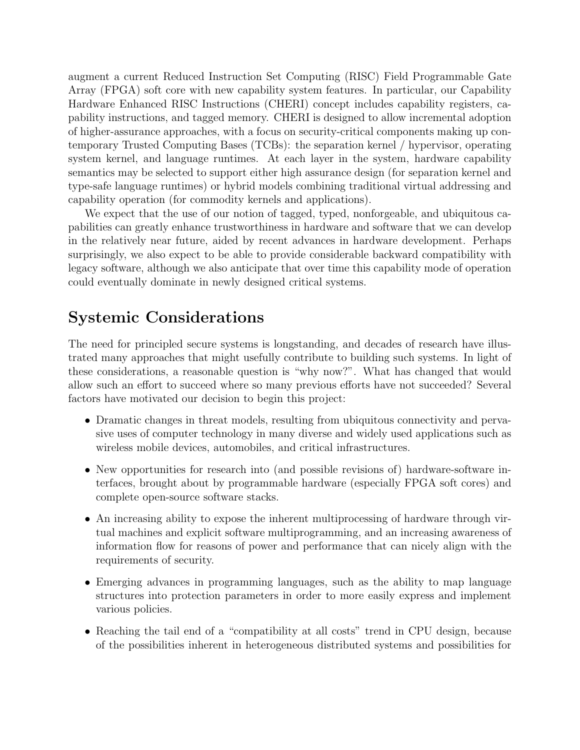augment a current Reduced Instruction Set Computing (RISC) Field Programmable Gate Array (FPGA) soft core with new capability system features. In particular, our Capability Hardware Enhanced RISC Instructions (CHERI) concept includes capability registers, capability instructions, and tagged memory. CHERI is designed to allow incremental adoption of higher-assurance approaches, with a focus on security-critical components making up contemporary Trusted Computing Bases (TCBs): the separation kernel / hypervisor, operating system kernel, and language runtimes. At each layer in the system, hardware capability semantics may be selected to support either high assurance design (for separation kernel and type-safe language runtimes) or hybrid models combining traditional virtual addressing and capability operation (for commodity kernels and applications).

We expect that the use of our notion of tagged, typed, nonforgeable, and ubiquitous capabilities can greatly enhance trustworthiness in hardware and software that we can develop in the relatively near future, aided by recent advances in hardware development. Perhaps surprisingly, we also expect to be able to provide considerable backward compatibility with legacy software, although we also anticipate that over time this capability mode of operation could eventually dominate in newly designed critical systems.

#### Systemic Considerations

The need for principled secure systems is longstanding, and decades of research have illustrated many approaches that might usefully contribute to building such systems. In light of these considerations, a reasonable question is "why now?". What has changed that would allow such an effort to succeed where so many previous efforts have not succeeded? Several factors have motivated our decision to begin this project:

- Dramatic changes in threat models, resulting from ubiquitous connectivity and pervasive uses of computer technology in many diverse and widely used applications such as wireless mobile devices, automobiles, and critical infrastructures.
- New opportunities for research into (and possible revisions of) hardware-software interfaces, brought about by programmable hardware (especially FPGA soft cores) and complete open-source software stacks.
- An increasing ability to expose the inherent multiprocessing of hardware through virtual machines and explicit software multiprogramming, and an increasing awareness of information flow for reasons of power and performance that can nicely align with the requirements of security.
- Emerging advances in programming languages, such as the ability to map language structures into protection parameters in order to more easily express and implement various policies.
- Reaching the tail end of a "compatibility at all costs" trend in CPU design, because of the possibilities inherent in heterogeneous distributed systems and possibilities for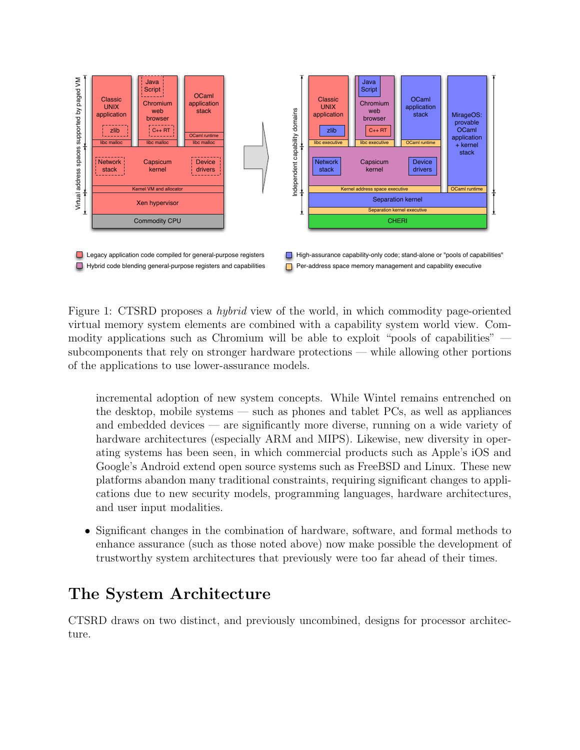

Figure 1: CTSRD proposes a hybrid view of the world, in which commodity page-oriented virtual memory system elements are combined with a capability system world view. Commodity applications such as Chromium will be able to exploit "pools of capabilities" subcomponents that rely on stronger hardware protections — while allowing other portions of the applications to use lower-assurance models.

incremental adoption of new system concepts. While Wintel remains entrenched on the desktop, mobile systems — such as phones and tablet PCs, as well as appliances and embedded devices — are significantly more diverse, running on a wide variety of hardware architectures (especially ARM and MIPS). Likewise, new diversity in operating systems has been seen, in which commercial products such as Apple's iOS and Google's Android extend open source systems such as FreeBSD and Linux. These new platforms abandon many traditional constraints, requiring significant changes to applications due to new security models, programming languages, hardware architectures, and user input modalities.

• Significant changes in the combination of hardware, software, and formal methods to enhance assurance (such as those noted above) now make possible the development of trustworthy system architectures that previously were too far ahead of their times.

## The System Architecture

CTSRD draws on two distinct, and previously uncombined, designs for processor architecture.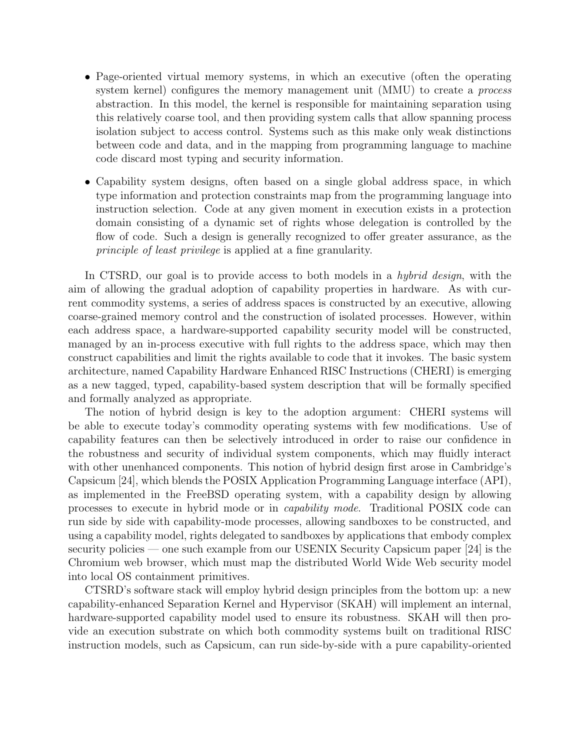- Page-oriented virtual memory systems, in which an executive (often the operating system kernel) configures the memory management unit (MMU) to create a *process* abstraction. In this model, the kernel is responsible for maintaining separation using this relatively coarse tool, and then providing system calls that allow spanning process isolation subject to access control. Systems such as this make only weak distinctions between code and data, and in the mapping from programming language to machine code discard most typing and security information.
- Capability system designs, often based on a single global address space, in which type information and protection constraints map from the programming language into instruction selection. Code at any given moment in execution exists in a protection domain consisting of a dynamic set of rights whose delegation is controlled by the flow of code. Such a design is generally recognized to offer greater assurance, as the principle of least privilege is applied at a fine granularity.

In CTSRD, our goal is to provide access to both models in a *hybrid design*, with the aim of allowing the gradual adoption of capability properties in hardware. As with current commodity systems, a series of address spaces is constructed by an executive, allowing coarse-grained memory control and the construction of isolated processes. However, within each address space, a hardware-supported capability security model will be constructed, managed by an in-process executive with full rights to the address space, which may then construct capabilities and limit the rights available to code that it invokes. The basic system architecture, named Capability Hardware Enhanced RISC Instructions (CHERI) is emerging as a new tagged, typed, capability-based system description that will be formally specified and formally analyzed as appropriate.

The notion of hybrid design is key to the adoption argument: CHERI systems will be able to execute today's commodity operating systems with few modifications. Use of capability features can then be selectively introduced in order to raise our confidence in the robustness and security of individual system components, which may fluidly interact with other unenhanced components. This notion of hybrid design first arose in Cambridge's Capsicum [24], which blends the POSIX Application Programming Language interface (API), as implemented in the FreeBSD operating system, with a capability design by allowing processes to execute in hybrid mode or in capability mode. Traditional POSIX code can run side by side with capability-mode processes, allowing sandboxes to be constructed, and using a capability model, rights delegated to sandboxes by applications that embody complex security policies — one such example from our USENIX Security Capsicum paper [24] is the Chromium web browser, which must map the distributed World Wide Web security model into local OS containment primitives.

CTSRD's software stack will employ hybrid design principles from the bottom up: a new capability-enhanced Separation Kernel and Hypervisor (SKAH) will implement an internal, hardware-supported capability model used to ensure its robustness. SKAH will then provide an execution substrate on which both commodity systems built on traditional RISC instruction models, such as Capsicum, can run side-by-side with a pure capability-oriented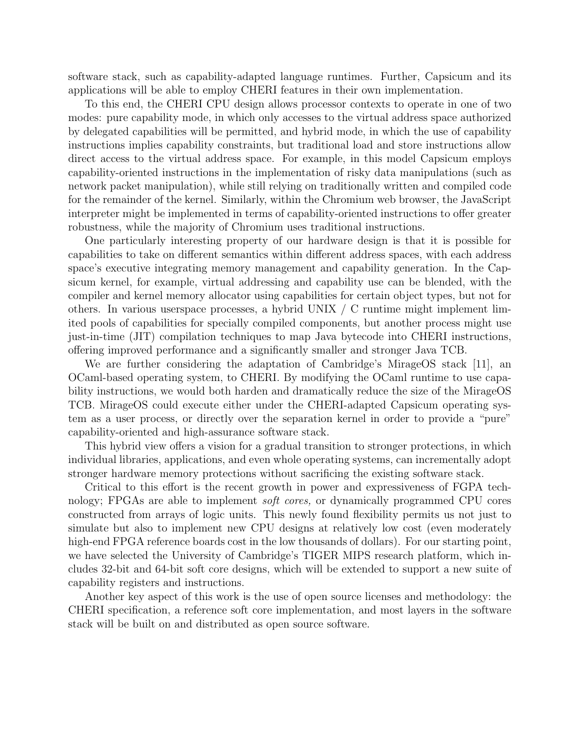software stack, such as capability-adapted language runtimes. Further, Capsicum and its applications will be able to employ CHERI features in their own implementation.

To this end, the CHERI CPU design allows processor contexts to operate in one of two modes: pure capability mode, in which only accesses to the virtual address space authorized by delegated capabilities will be permitted, and hybrid mode, in which the use of capability instructions implies capability constraints, but traditional load and store instructions allow direct access to the virtual address space. For example, in this model Capsicum employs capability-oriented instructions in the implementation of risky data manipulations (such as network packet manipulation), while still relying on traditionally written and compiled code for the remainder of the kernel. Similarly, within the Chromium web browser, the JavaScript interpreter might be implemented in terms of capability-oriented instructions to offer greater robustness, while the majority of Chromium uses traditional instructions.

One particularly interesting property of our hardware design is that it is possible for capabilities to take on different semantics within different address spaces, with each address space's executive integrating memory management and capability generation. In the Capsicum kernel, for example, virtual addressing and capability use can be blended, with the compiler and kernel memory allocator using capabilities for certain object types, but not for others. In various userspace processes, a hybrid UNIX / C runtime might implement limited pools of capabilities for specially compiled components, but another process might use just-in-time (JIT) compilation techniques to map Java bytecode into CHERI instructions, offering improved performance and a significantly smaller and stronger Java TCB.

We are further considering the adaptation of Cambridge's MirageOS stack [11], an OCaml-based operating system, to CHERI. By modifying the OCaml runtime to use capability instructions, we would both harden and dramatically reduce the size of the MirageOS TCB. MirageOS could execute either under the CHERI-adapted Capsicum operating system as a user process, or directly over the separation kernel in order to provide a "pure" capability-oriented and high-assurance software stack.

This hybrid view offers a vision for a gradual transition to stronger protections, in which individual libraries, applications, and even whole operating systems, can incrementally adopt stronger hardware memory protections without sacrificing the existing software stack.

Critical to this effort is the recent growth in power and expressiveness of FGPA technology; FPGAs are able to implement soft cores, or dynamically programmed CPU cores constructed from arrays of logic units. This newly found flexibility permits us not just to simulate but also to implement new CPU designs at relatively low cost (even moderately high-end FPGA reference boards cost in the low thousands of dollars). For our starting point, we have selected the University of Cambridge's TIGER MIPS research platform, which includes 32-bit and 64-bit soft core designs, which will be extended to support a new suite of capability registers and instructions.

Another key aspect of this work is the use of open source licenses and methodology: the CHERI specification, a reference soft core implementation, and most layers in the software stack will be built on and distributed as open source software.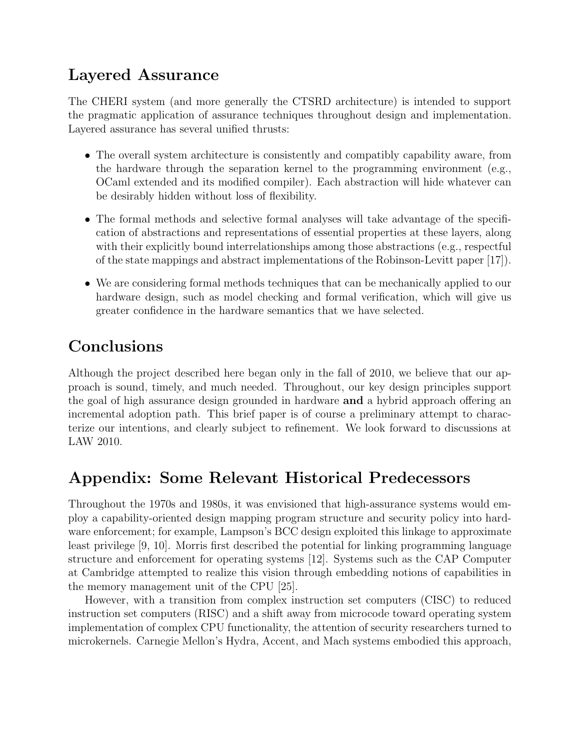## Layered Assurance

The CHERI system (and more generally the CTSRD architecture) is intended to support the pragmatic application of assurance techniques throughout design and implementation. Layered assurance has several unified thrusts:

- The overall system architecture is consistently and compatibly capability aware, from the hardware through the separation kernel to the programming environment (e.g., OCaml extended and its modified compiler). Each abstraction will hide whatever can be desirably hidden without loss of flexibility.
- The formal methods and selective formal analyses will take advantage of the specification of abstractions and representations of essential properties at these layers, along with their explicitly bound interrelationships among those abstractions (e.g., respectful of the state mappings and abstract implementations of the Robinson-Levitt paper [17]).
- We are considering formal methods techniques that can be mechanically applied to our hardware design, such as model checking and formal verification, which will give us greater confidence in the hardware semantics that we have selected.

# Conclusions

Although the project described here began only in the fall of 2010, we believe that our approach is sound, timely, and much needed. Throughout, our key design principles support the goal of high assurance design grounded in hardware and a hybrid approach offering an incremental adoption path. This brief paper is of course a preliminary attempt to characterize our intentions, and clearly subject to refinement. We look forward to discussions at LAW 2010.

## Appendix: Some Relevant Historical Predecessors

Throughout the 1970s and 1980s, it was envisioned that high-assurance systems would employ a capability-oriented design mapping program structure and security policy into hardware enforcement; for example, Lampson's BCC design exploited this linkage to approximate least privilege [9, 10]. Morris first described the potential for linking programming language structure and enforcement for operating systems [12]. Systems such as the CAP Computer at Cambridge attempted to realize this vision through embedding notions of capabilities in the memory management unit of the CPU [25].

However, with a transition from complex instruction set computers (CISC) to reduced instruction set computers (RISC) and a shift away from microcode toward operating system implementation of complex CPU functionality, the attention of security researchers turned to microkernels. Carnegie Mellon's Hydra, Accent, and Mach systems embodied this approach,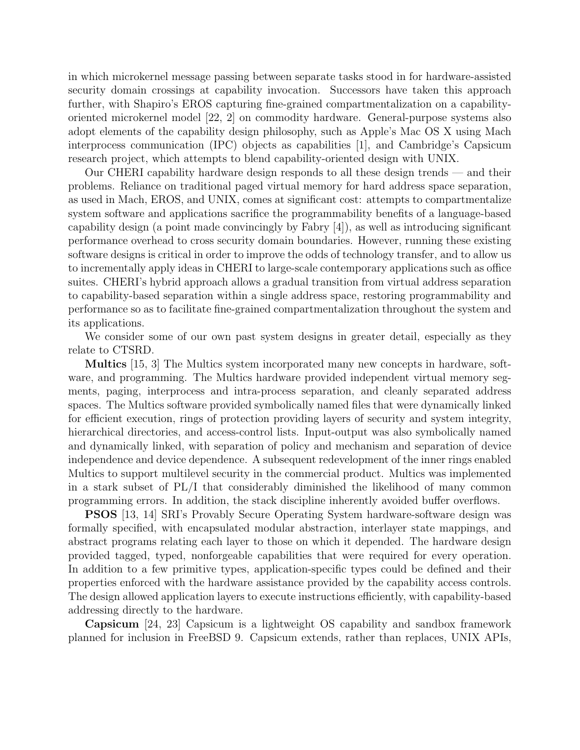in which microkernel message passing between separate tasks stood in for hardware-assisted security domain crossings at capability invocation. Successors have taken this approach further, with Shapiro's EROS capturing fine-grained compartmentalization on a capabilityoriented microkernel model [22, 2] on commodity hardware. General-purpose systems also adopt elements of the capability design philosophy, such as Apple's Mac OS X using Mach interprocess communication (IPC) objects as capabilities [1], and Cambridge's Capsicum research project, which attempts to blend capability-oriented design with UNIX.

Our CHERI capability hardware design responds to all these design trends — and their problems. Reliance on traditional paged virtual memory for hard address space separation, as used in Mach, EROS, and UNIX, comes at significant cost: attempts to compartmentalize system software and applications sacrifice the programmability benefits of a language-based capability design (a point made convincingly by Fabry [4]), as well as introducing significant performance overhead to cross security domain boundaries. However, running these existing software designs is critical in order to improve the odds of technology transfer, and to allow us to incrementally apply ideas in CHERI to large-scale contemporary applications such as office suites. CHERI's hybrid approach allows a gradual transition from virtual address separation to capability-based separation within a single address space, restoring programmability and performance so as to facilitate fine-grained compartmentalization throughout the system and its applications.

We consider some of our own past system designs in greater detail, especially as they relate to CTSRD.

Multics [15, 3] The Multics system incorporated many new concepts in hardware, software, and programming. The Multics hardware provided independent virtual memory segments, paging, interprocess and intra-process separation, and cleanly separated address spaces. The Multics software provided symbolically named files that were dynamically linked for efficient execution, rings of protection providing layers of security and system integrity, hierarchical directories, and access-control lists. Input-output was also symbolically named and dynamically linked, with separation of policy and mechanism and separation of device independence and device dependence. A subsequent redevelopment of the inner rings enabled Multics to support multilevel security in the commercial product. Multics was implemented in a stark subset of PL/I that considerably diminished the likelihood of many common programming errors. In addition, the stack discipline inherently avoided buffer overflows.

PSOS [13, 14] SRI's Provably Secure Operating System hardware-software design was formally specified, with encapsulated modular abstraction, interlayer state mappings, and abstract programs relating each layer to those on which it depended. The hardware design provided tagged, typed, nonforgeable capabilities that were required for every operation. In addition to a few primitive types, application-specific types could be defined and their properties enforced with the hardware assistance provided by the capability access controls. The design allowed application layers to execute instructions efficiently, with capability-based addressing directly to the hardware.

Capsicum [24, 23] Capsicum is a lightweight OS capability and sandbox framework planned for inclusion in FreeBSD 9. Capsicum extends, rather than replaces, UNIX APIs,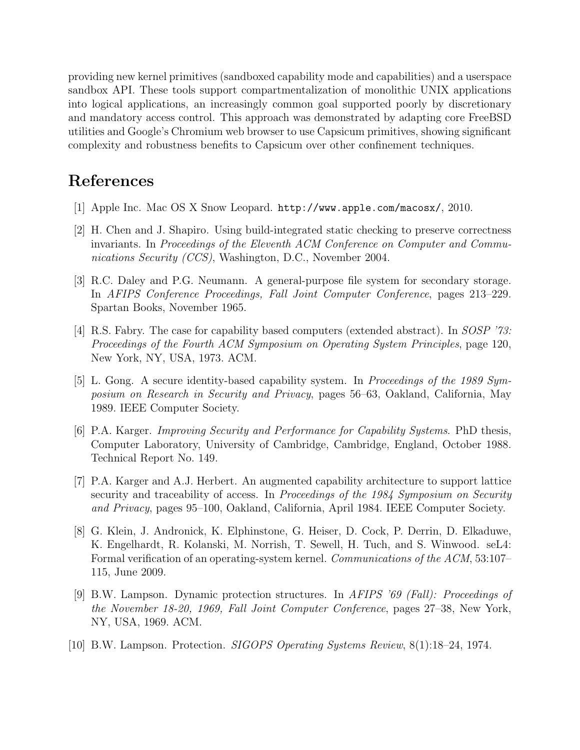providing new kernel primitives (sandboxed capability mode and capabilities) and a userspace sandbox API. These tools support compartmentalization of monolithic UNIX applications into logical applications, an increasingly common goal supported poorly by discretionary and mandatory access control. This approach was demonstrated by adapting core FreeBSD utilities and Google's Chromium web browser to use Capsicum primitives, showing significant complexity and robustness benefits to Capsicum over other confinement techniques.

#### References

- [1] Apple Inc. Mac OS X Snow Leopard. http://www.apple.com/macosx/, 2010.
- [2] H. Chen and J. Shapiro. Using build-integrated static checking to preserve correctness invariants. In Proceedings of the Eleventh ACM Conference on Computer and Communications Security (CCS), Washington, D.C., November 2004.
- [3] R.C. Daley and P.G. Neumann. A general-purpose file system for secondary storage. In AFIPS Conference Proceedings, Fall Joint Computer Conference, pages 213–229. Spartan Books, November 1965.
- [4] R.S. Fabry. The case for capability based computers (extended abstract). In SOSP '73: Proceedings of the Fourth ACM Symposium on Operating System Principles, page 120, New York, NY, USA, 1973. ACM.
- [5] L. Gong. A secure identity-based capability system. In Proceedings of the 1989 Symposium on Research in Security and Privacy, pages 56–63, Oakland, California, May 1989. IEEE Computer Society.
- [6] P.A. Karger. Improving Security and Performance for Capability Systems. PhD thesis, Computer Laboratory, University of Cambridge, Cambridge, England, October 1988. Technical Report No. 149.
- [7] P.A. Karger and A.J. Herbert. An augmented capability architecture to support lattice security and traceability of access. In Proceedings of the 1984 Symposium on Security and Privacy, pages 95–100, Oakland, California, April 1984. IEEE Computer Society.
- [8] G. Klein, J. Andronick, K. Elphinstone, G. Heiser, D. Cock, P. Derrin, D. Elkaduwe, K. Engelhardt, R. Kolanski, M. Norrish, T. Sewell, H. Tuch, and S. Winwood. seL4: Formal verification of an operating-system kernel. Communications of the ACM, 53:107– 115, June 2009.
- [9] B.W. Lampson. Dynamic protection structures. In AFIPS '69 (Fall): Proceedings of the November 18-20, 1969, Fall Joint Computer Conference, pages 27–38, New York, NY, USA, 1969. ACM.
- [10] B.W. Lampson. Protection. SIGOPS Operating Systems Review, 8(1):18–24, 1974.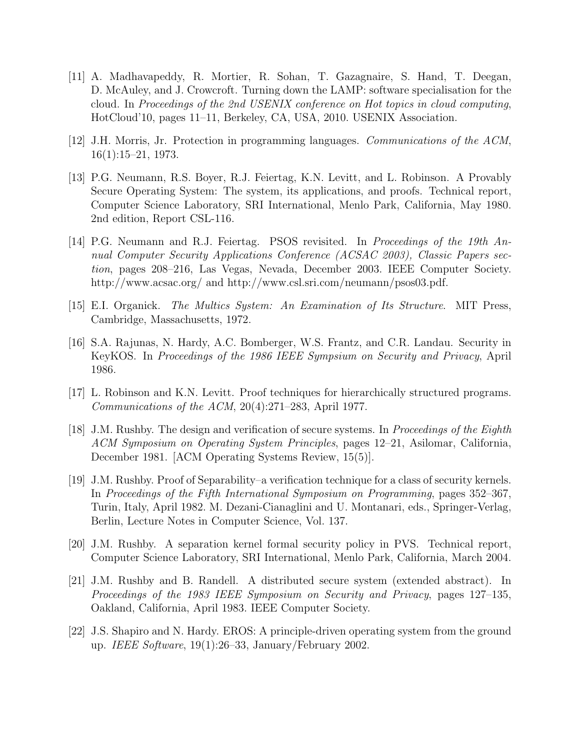- [11] A. Madhavapeddy, R. Mortier, R. Sohan, T. Gazagnaire, S. Hand, T. Deegan, D. McAuley, and J. Crowcroft. Turning down the LAMP: software specialisation for the cloud. In Proceedings of the 2nd USENIX conference on Hot topics in cloud computing, HotCloud'10, pages 11–11, Berkeley, CA, USA, 2010. USENIX Association.
- [12] J.H. Morris, Jr. Protection in programming languages. Communications of the ACM, 16(1):15–21, 1973.
- [13] P.G. Neumann, R.S. Boyer, R.J. Feiertag, K.N. Levitt, and L. Robinson. A Provably Secure Operating System: The system, its applications, and proofs. Technical report, Computer Science Laboratory, SRI International, Menlo Park, California, May 1980. 2nd edition, Report CSL-116.
- [14] P.G. Neumann and R.J. Feiertag. PSOS revisited. In Proceedings of the 19th Annual Computer Security Applications Conference (ACSAC 2003), Classic Papers section, pages 208–216, Las Vegas, Nevada, December 2003. IEEE Computer Society. http://www.acsac.org/ and http://www.csl.sri.com/neumann/psos03.pdf.
- [15] E.I. Organick. The Multics System: An Examination of Its Structure. MIT Press, Cambridge, Massachusetts, 1972.
- [16] S.A. Rajunas, N. Hardy, A.C. Bomberger, W.S. Frantz, and C.R. Landau. Security in KeyKOS. In Proceedings of the 1986 IEEE Sympsium on Security and Privacy, April 1986.
- [17] L. Robinson and K.N. Levitt. Proof techniques for hierarchically structured programs. Communications of the ACM, 20(4):271–283, April 1977.
- [18] J.M. Rushby. The design and verification of secure systems. In Proceedings of the Eighth ACM Symposium on Operating System Principles, pages 12–21, Asilomar, California, December 1981. [ACM Operating Systems Review, 15(5)].
- [19] J.M. Rushby. Proof of Separability–a verification technique for a class of security kernels. In Proceedings of the Fifth International Symposium on Programming, pages 352–367, Turin, Italy, April 1982. M. Dezani-Cianaglini and U. Montanari, eds., Springer-Verlag, Berlin, Lecture Notes in Computer Science, Vol. 137.
- [20] J.M. Rushby. A separation kernel formal security policy in PVS. Technical report, Computer Science Laboratory, SRI International, Menlo Park, California, March 2004.
- [21] J.M. Rushby and B. Randell. A distributed secure system (extended abstract). In Proceedings of the 1983 IEEE Symposium on Security and Privacy, pages 127–135, Oakland, California, April 1983. IEEE Computer Society.
- [22] J.S. Shapiro and N. Hardy. EROS: A principle-driven operating system from the ground up. IEEE Software, 19(1):26–33, January/February 2002.